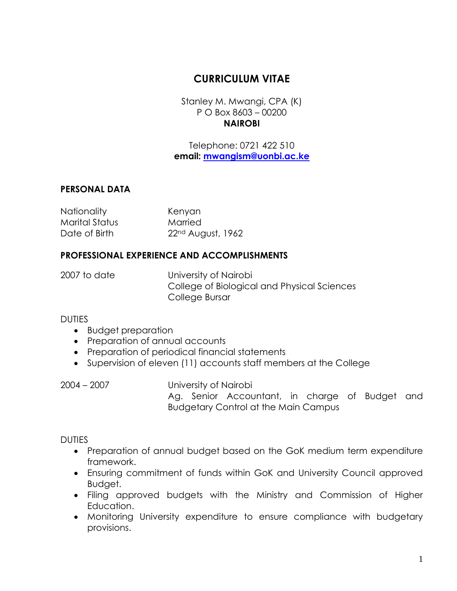# **CURRICULUM VITAE**

Stanley M. Mwangi, CPA (K) P O Box 8603 – 00200 **NAIROBI**

Telephone: 0721 422 510 **email: [mwangism@uonbi.ac.ke](mailto:mwangism@uonbi.ac.ke)**

# **PERSONAL DATA**

Nationality Kenyan Marital Status Married Date of Birth 22<sup>nd</sup> August, 1962

# **PROFESSIONAL EXPERIENCE AND ACCOMPLISHMENTS**

2007 to date University of Nairobi College of Biological and Physical Sciences College Bursar

#### DUTIES

- Budget preparation
- Preparation of annual accounts
- Preparation of periodical financial statements
- Supervision of eleven (11) accounts staff members at the College

2004 – 2007 University of Nairobi Ag. Senior Accountant, in charge of Budget and Budgetary Control at the Main Campus

# DUTIES

- Preparation of annual budget based on the GoK medium term expenditure framework.
- Ensuring commitment of funds within GoK and University Council approved Budget.
- Filing approved budgets with the Ministry and Commission of Higher Education.
- Monitoring University expenditure to ensure compliance with budgetary provisions.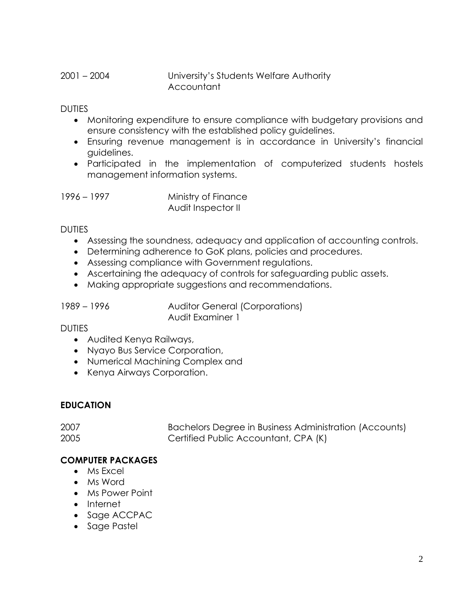2001 – 2004 University's Students Welfare Authority Accountant

DUTIES

- Monitoring expenditure to ensure compliance with budgetary provisions and ensure consistency with the established policy guidelines.
- Ensuring revenue management is in accordance in University's financial guidelines.
- Participated in the implementation of computerized students hostels management information systems.

1996 – 1997 Ministry of Finance Audit Inspector II

#### DUTIES

- Assessing the soundness, adequacy and application of accounting controls.
- Determining adherence to GoK plans, policies and procedures.
- Assessing compliance with Government regulations.
- Ascertaining the adequacy of controls for safeguarding public assets.
- Making appropriate suggestions and recommendations.

1989 – 1996 Auditor General (Corporations) Audit Examiner 1

# **DUTIES**

- Audited Kenya Railways,
- Nyayo Bus Service Corporation,
- Numerical Machining Complex and
- Kenya Airways Corporation.

# **EDUCATION**

| 2007 | Bachelors Degree in Business Administration (Accounts) |  |
|------|--------------------------------------------------------|--|
| 2005 | Certified Public Accountant, CPA (K)                   |  |

# **COMPUTER PACKAGES**

- Ms Excel
- Ms Word
- Ms Power Point
- Internet
- Sage ACCPAC
- Sage Pastel